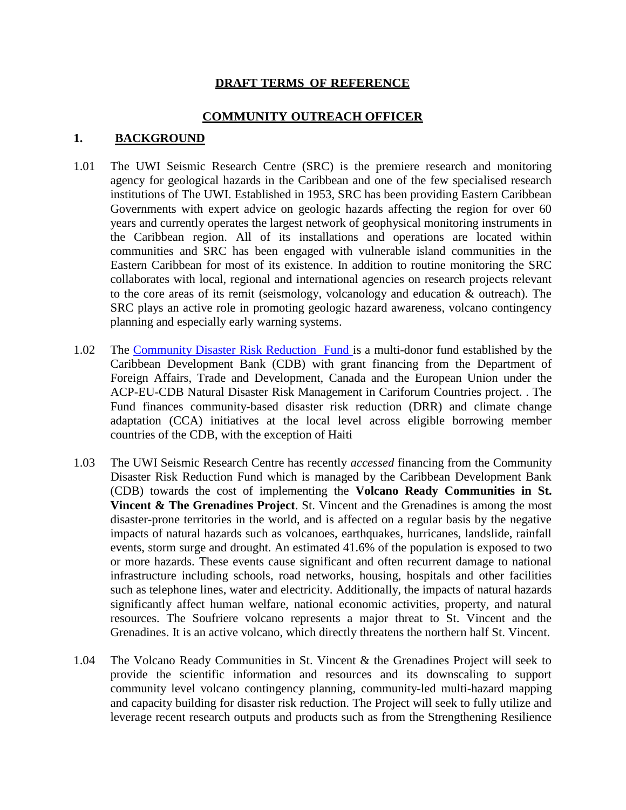## **DRAFT TERMS OF REFERENCE**

#### **COMMUNITY OUTREACH OFFICER**

#### **1. BACKGROUND**

- 1.01 The UWI Seismic Research Centre (SRC) is the premiere research and monitoring agency for geological hazards in the Caribbean and one of the few specialised research institutions of The UWI. Established in 1953, SRC has been providing Eastern Caribbean Governments with expert advice on geologic hazards affecting the region for over 60 years and currently operates the largest network of geophysical monitoring instruments in the Caribbean region. All of its installations and operations are located within communities and SRC has been engaged with vulnerable island communities in the Eastern Caribbean for most of its existence. In addition to routine monitoring the SRC collaborates with local, regional and international agencies on research projects relevant to the core areas of its remit (seismology, volcanology and education & outreach). The SRC plays an active role in promoting geologic hazard awareness, volcano contingency planning and especially early warning systems.
- 1.02 The [Community Disaster Risk Reduction Fund](http://www.caribank.org/programmes/cdrr1) is a multi-donor fund established by the Caribbean Development Bank (CDB) with grant financing from the Department of Foreign Affairs, Trade and Development, Canada and the European Union under the ACP-EU-CDB Natural Disaster Risk Management in Cariforum Countries project. . The Fund finances community-based disaster risk reduction (DRR) and climate change adaptation (CCA) initiatives at the local level across eligible borrowing member countries of the CDB, with the exception of Haiti
- 1.03 The UWI Seismic Research Centre has recently *accessed* financing from the Community Disaster Risk Reduction Fund which is managed by the Caribbean Development Bank (CDB) towards the cost of implementing the **Volcano Ready Communities in St. Vincent & The Grenadines Project**. St. Vincent and the Grenadines is among the most disaster-prone territories in the world, and is affected on a regular basis by the negative impacts of natural hazards such as volcanoes, earthquakes, hurricanes, landslide, rainfall events, storm surge and drought. An estimated 41.6% of the population is exposed to two or more hazards. These events cause significant and often recurrent damage to national infrastructure including schools, road networks, housing, hospitals and other facilities such as telephone lines, water and electricity. Additionally, the impacts of natural hazards significantly affect human welfare, national economic activities, property, and natural resources. The Soufriere volcano represents a major threat to St. Vincent and the Grenadines. It is an active volcano, which directly threatens the northern half St. Vincent.
- 1.04 The Volcano Ready Communities in St. Vincent & the Grenadines Project will seek to provide the scientific information and resources and its downscaling to support community level volcano contingency planning, community-led multi-hazard mapping and capacity building for disaster risk reduction. The Project will seek to fully utilize and leverage recent research outputs and products such as from the Strengthening Resilience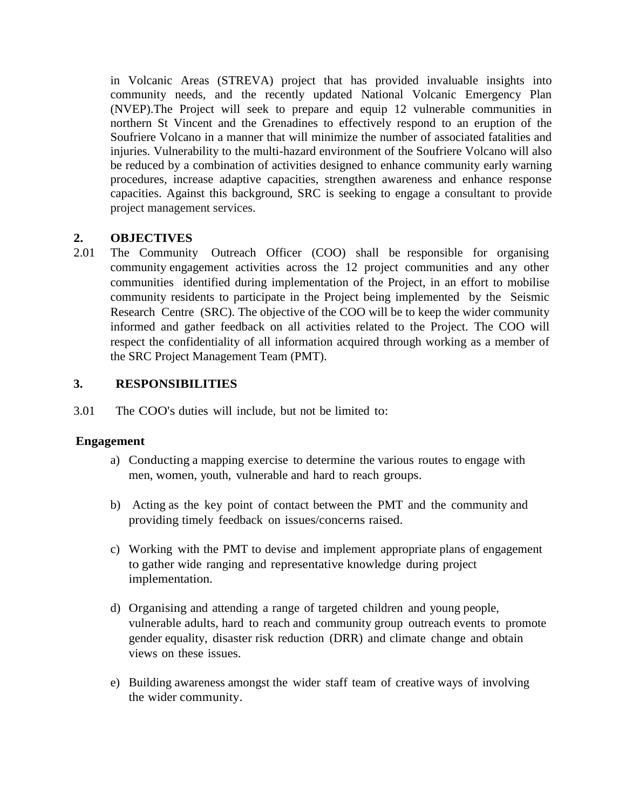in Volcanic Areas (STREVA) project that has provided invaluable insights into community needs, and the recently updated National Volcanic Emergency Plan (NVEP).The Project will seek to prepare and equip 12 vulnerable communities in northern St Vincent and the Grenadines to effectively respond to an eruption of the Soufriere Volcano in a manner that will minimize the number of associated fatalities and injuries. Vulnerability to the multi-hazard environment of the Soufriere Volcano will also be reduced by a combination of activities designed to enhance community early warning procedures, increase adaptive capacities, strengthen awareness and enhance response capacities. Against this background, SRC is seeking to engage a consultant to provide project management services.

# **2. OBJECTIVES**

2.01 The Community Outreach Officer (COO) shall be responsible for organising community engagement activities across the 12 project communities and any other communities identified during implementation of the Project, in an effort to mobilise community residents to participate in the Project being implemented by the Seismic Research Centre (SRC). The objective of the COO will be to keep the wider community informed and gather feedback on all activities related to the Project. The COO will respect the confidentiality of all information acquired through working as a member of the SRC Project Management Team (PMT).

# **3. RESPONSIBILITIES**

3.01 The COO's duties will include, but not be limited to:

# **Engagement**

- a) Conducting a mapping exercise to determine the various routes to engage with men, women, youth, vulnerable and hard to reach groups.
- b) Acting as the key point of contact between the PMT and the community and providing timely feedback on issues/concerns raised.
- c) Working with the PMT to devise and implement appropriate plans of engagement to gather wide ranging and representative knowledge during project implementation.
- d) Organising and attending a range of targeted children and young people, vulnerable adults, hard to reach and community group outreach events to promote gender equality, disaster risk reduction (DRR) and climate change and obtain views on these issues.
- e) Building awareness amongst the wider staff team of creative ways of involving the wider community.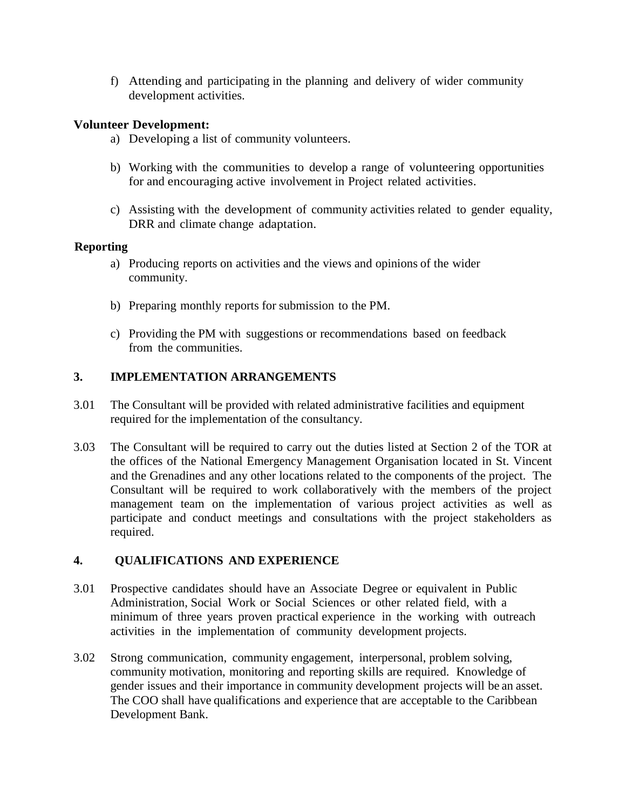f) Attending and participating in the planning and delivery of wider community development activities.

## **Volunteer Development:**

- a) Developing a list of community volunteers.
- b) Working with the communities to develop a range of volunteering opportunities for and encouraging active involvement in Project related activities.
- c) Assisting with the development of community activities related to gender equality, DRR and climate change adaptation.

## **Reporting**

- a) Producing reports on activities and the views and opinions of the wider community.
- b) Preparing monthly reports for submission to the PM.
- c) Providing the PM with suggestions or recommendations based on feedback from the communities.

## **3. IMPLEMENTATION ARRANGEMENTS**

- 3.01 The Consultant will be provided with related administrative facilities and equipment required for the implementation of the consultancy.
- 3.03 The Consultant will be required to carry out the duties listed at Section 2 of the TOR at the offices of the National Emergency Management Organisation located in St. Vincent and the Grenadines and any other locations related to the components of the project. The Consultant will be required to work collaboratively with the members of the project management team on the implementation of various project activities as well as participate and conduct meetings and consultations with the project stakeholders as required.

# **4. QUALIFICATIONS AND EXPERIENCE**

- 3.01 Prospective candidates should have an Associate Degree or equivalent in Public Administration, Social Work or Social Sciences or other related field, with a minimum of three years proven practical experience in the working with outreach activities in the implementation of community development projects.
- 3.02 Strong communication, community engagement, interpersonal, problem solving, community motivation, monitoring and reporting skills are required. Knowledge of gender issues and their importance in community development projects will be an asset. The COO shall have qualifications and experience that are acceptable to the Caribbean Development Bank.